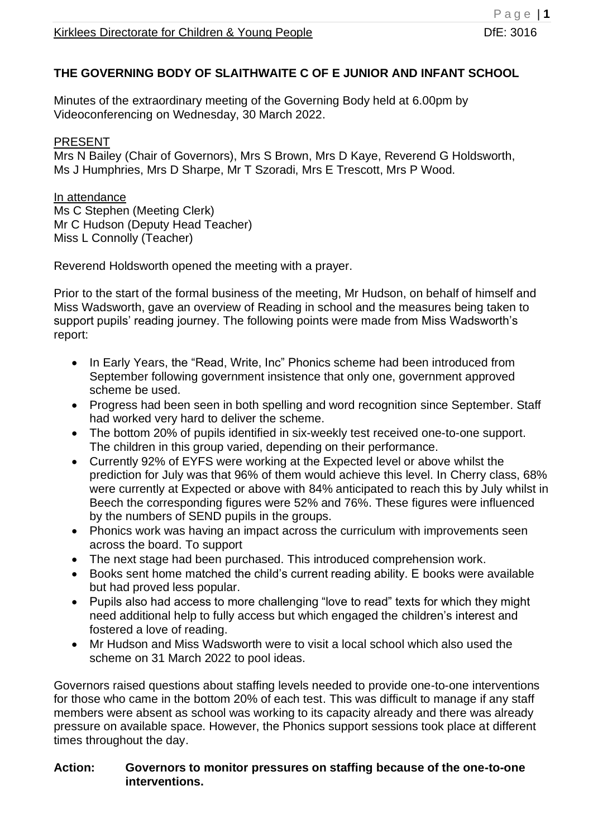## **THE GOVERNING BODY OF SLAITHWAITE C OF E JUNIOR AND INFANT SCHOOL**

Minutes of the extraordinary meeting of the Governing Body held at 6.00pm by Videoconferencing on Wednesday, 30 March 2022.

#### PRESENT

Mrs N Bailey (Chair of Governors), Mrs S Brown, Mrs D Kaye, Reverend G Holdsworth, Ms J Humphries, Mrs D Sharpe, Mr T Szoradi, Mrs E Trescott, Mrs P Wood.

In attendance Ms C Stephen (Meeting Clerk) Mr C Hudson (Deputy Head Teacher) Miss L Connolly (Teacher)

Reverend Holdsworth opened the meeting with a prayer.

Prior to the start of the formal business of the meeting, Mr Hudson, on behalf of himself and Miss Wadsworth, gave an overview of Reading in school and the measures being taken to support pupils' reading journey. The following points were made from Miss Wadsworth's report:

- In Early Years, the "Read, Write, Inc" Phonics scheme had been introduced from September following government insistence that only one, government approved scheme be used.
- Progress had been seen in both spelling and word recognition since September. Staff had worked very hard to deliver the scheme.
- The bottom 20% of pupils identified in six-weekly test received one-to-one support. The children in this group varied, depending on their performance.
- Currently 92% of EYFS were working at the Expected level or above whilst the prediction for July was that 96% of them would achieve this level. In Cherry class, 68% were currently at Expected or above with 84% anticipated to reach this by July whilst in Beech the corresponding figures were 52% and 76%. These figures were influenced by the numbers of SEND pupils in the groups.
- Phonics work was having an impact across the curriculum with improvements seen across the board. To support
- The next stage had been purchased. This introduced comprehension work.
- Books sent home matched the child's current reading ability. E books were available but had proved less popular.
- Pupils also had access to more challenging "love to read" texts for which they might need additional help to fully access but which engaged the children's interest and fostered a love of reading.
- Mr Hudson and Miss Wadsworth were to visit a local school which also used the scheme on 31 March 2022 to pool ideas.

Governors raised questions about staffing levels needed to provide one-to-one interventions for those who came in the bottom 20% of each test. This was difficult to manage if any staff members were absent as school was working to its capacity already and there was already pressure on available space. However, the Phonics support sessions took place at different times throughout the day.

#### **Action: Governors to monitor pressures on staffing because of the one-to-one interventions.**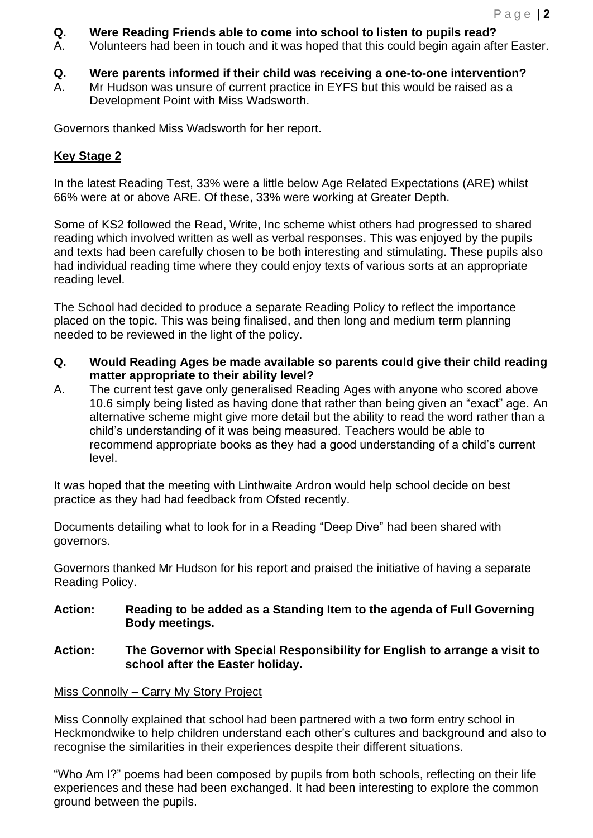- **Q. Were Reading Friends able to come into school to listen to pupils read?**
- A. Volunteers had been in touch and it was hoped that this could begin again after Easter.
- **Q. Were parents informed if their child was receiving a one-to-one intervention?**
- A. Mr Hudson was unsure of current practice in EYFS but this would be raised as a Development Point with Miss Wadsworth.

Governors thanked Miss Wadsworth for her report.

# **Key Stage 2**

In the latest Reading Test, 33% were a little below Age Related Expectations (ARE) whilst 66% were at or above ARE. Of these, 33% were working at Greater Depth.

Some of KS2 followed the Read, Write, Inc scheme whist others had progressed to shared reading which involved written as well as verbal responses. This was enjoyed by the pupils and texts had been carefully chosen to be both interesting and stimulating. These pupils also had individual reading time where they could enjoy texts of various sorts at an appropriate reading level.

The School had decided to produce a separate Reading Policy to reflect the importance placed on the topic. This was being finalised, and then long and medium term planning needed to be reviewed in the light of the policy.

- **Q. Would Reading Ages be made available so parents could give their child reading matter appropriate to their ability level?**
- A. The current test gave only generalised Reading Ages with anyone who scored above 10.6 simply being listed as having done that rather than being given an "exact" age. An alternative scheme might give more detail but the ability to read the word rather than a child's understanding of it was being measured. Teachers would be able to recommend appropriate books as they had a good understanding of a child's current level.

It was hoped that the meeting with Linthwaite Ardron would help school decide on best practice as they had had feedback from Ofsted recently.

Documents detailing what to look for in a Reading "Deep Dive" had been shared with governors.

Governors thanked Mr Hudson for his report and praised the initiative of having a separate Reading Policy.

**Action: Reading to be added as a Standing Item to the agenda of Full Governing Body meetings.** 

### **Action: The Governor with Special Responsibility for English to arrange a visit to school after the Easter holiday.**

Miss Connolly – Carry My Story Project

Miss Connolly explained that school had been partnered with a two form entry school in Heckmondwike to help children understand each other's cultures and background and also to recognise the similarities in their experiences despite their different situations.

"Who Am I?" poems had been composed by pupils from both schools, reflecting on their life experiences and these had been exchanged. It had been interesting to explore the common ground between the pupils.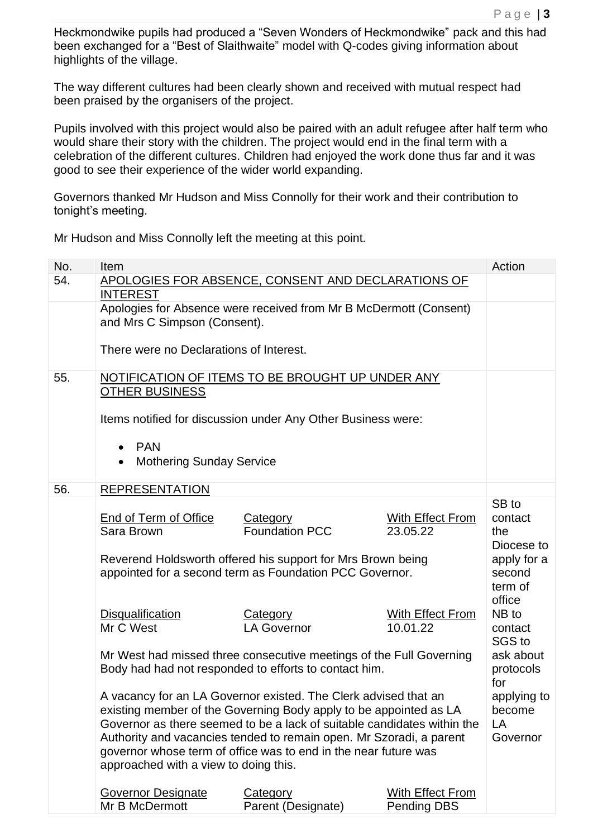Heckmondwike pupils had produced a "Seven Wonders of Heckmondwike" pack and this had been exchanged for a "Best of Slaithwaite" model with Q-codes giving information about highlights of the village.

The way different cultures had been clearly shown and received with mutual respect had been praised by the organisers of the project.

Pupils involved with this project would also be paired with an adult refugee after half term who would share their story with the children. The project would end in the final term with a celebration of the different cultures. Children had enjoyed the work done thus far and it was good to see their experience of the wider world expanding.

Governors thanked Mr Hudson and Miss Connolly for their work and their contribution to tonight's meeting.

| No. | <b>Item</b>                                                                                                                                |                                                              |                         | Action            |
|-----|--------------------------------------------------------------------------------------------------------------------------------------------|--------------------------------------------------------------|-------------------------|-------------------|
| 54. | APOLOGIES FOR ABSENCE, CONSENT AND DECLARATIONS OF<br><b>INTEREST</b><br>Apologies for Absence were received from Mr B McDermott (Consent) |                                                              |                         |                   |
|     |                                                                                                                                            |                                                              |                         |                   |
|     |                                                                                                                                            |                                                              |                         |                   |
|     | and Mrs C Simpson (Consent).                                                                                                               |                                                              |                         |                   |
|     |                                                                                                                                            |                                                              |                         |                   |
|     | There were no Declarations of Interest.                                                                                                    |                                                              |                         |                   |
|     |                                                                                                                                            |                                                              |                         |                   |
| 55. | NOTIFICATION OF ITEMS TO BE BROUGHT UP UNDER ANY                                                                                           |                                                              |                         |                   |
|     | <b>OTHER BUSINESS</b>                                                                                                                      |                                                              |                         |                   |
|     |                                                                                                                                            |                                                              |                         |                   |
|     |                                                                                                                                            | Items notified for discussion under Any Other Business were: |                         |                   |
|     |                                                                                                                                            |                                                              |                         |                   |
|     | <b>PAN</b><br>$\bullet$                                                                                                                    |                                                              |                         |                   |
|     | <b>Mothering Sunday Service</b>                                                                                                            |                                                              |                         |                   |
|     |                                                                                                                                            |                                                              |                         |                   |
| 56. | <b>REPRESENTATION</b>                                                                                                                      |                                                              |                         |                   |
|     |                                                                                                                                            |                                                              |                         | SB to             |
|     | End of Term of Office                                                                                                                      | <b>Category</b>                                              | <b>With Effect From</b> | contact           |
|     | Sara Brown                                                                                                                                 | <b>Foundation PCC</b>                                        | 23.05.22                | the<br>Diocese to |
|     |                                                                                                                                            |                                                              |                         |                   |
|     | Reverend Holdsworth offered his support for Mrs Brown being<br>appointed for a second term as Foundation PCC Governor.                     |                                                              |                         |                   |
|     |                                                                                                                                            |                                                              |                         |                   |
|     |                                                                                                                                            |                                                              |                         | term of<br>office |
|     | <b>Disqualification</b>                                                                                                                    | <b>Category</b>                                              | <b>With Effect From</b> | NB to             |
|     | Mr C West                                                                                                                                  | <b>LA Governor</b>                                           | 10.01.22                | contact           |
|     |                                                                                                                                            |                                                              |                         | SGS to            |
|     | Mr West had missed three consecutive meetings of the Full Governing                                                                        |                                                              |                         | ask about         |
|     | Body had had not responded to efforts to contact him.                                                                                      |                                                              |                         |                   |
|     |                                                                                                                                            |                                                              |                         |                   |
|     | A vacancy for an LA Governor existed. The Clerk advised that an                                                                            | applying to                                                  |                         |                   |
|     | existing member of the Governing Body apply to be appointed as LA                                                                          |                                                              |                         |                   |
|     | Governor as there seemed to be a lack of suitable candidates within the                                                                    |                                                              |                         | LA                |
|     | Authority and vacancies tended to remain open. Mr Szoradi, a parent                                                                        |                                                              |                         |                   |
|     | governor whose term of office was to end in the near future was                                                                            |                                                              |                         |                   |
|     | approached with a view to doing this.                                                                                                      |                                                              |                         |                   |
|     |                                                                                                                                            |                                                              |                         |                   |
|     | <b>Governor Designate</b>                                                                                                                  | <b>Category</b>                                              | With Effect From        |                   |
|     | Mr B McDermott                                                                                                                             | Parent (Designate)                                           | <b>Pending DBS</b>      |                   |
|     |                                                                                                                                            |                                                              |                         |                   |

Mr Hudson and Miss Connolly left the meeting at this point.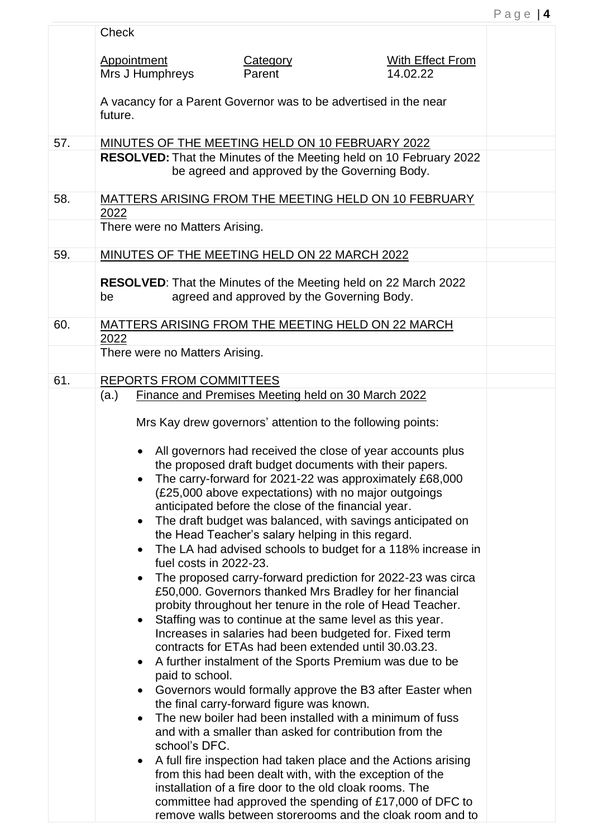|     | <b>Check</b>                                                                                                                                                               |                                                                                                                                                                                                                                                                        |                                                                                                                                                                                                                                                                                                                                                                                                                                                                                                                                                                                                                                                                                                                                                                                                                                                                                                                                                                                                                                                                                                                                                                                                                                                                                                                   |  |
|-----|----------------------------------------------------------------------------------------------------------------------------------------------------------------------------|------------------------------------------------------------------------------------------------------------------------------------------------------------------------------------------------------------------------------------------------------------------------|-------------------------------------------------------------------------------------------------------------------------------------------------------------------------------------------------------------------------------------------------------------------------------------------------------------------------------------------------------------------------------------------------------------------------------------------------------------------------------------------------------------------------------------------------------------------------------------------------------------------------------------------------------------------------------------------------------------------------------------------------------------------------------------------------------------------------------------------------------------------------------------------------------------------------------------------------------------------------------------------------------------------------------------------------------------------------------------------------------------------------------------------------------------------------------------------------------------------------------------------------------------------------------------------------------------------|--|
|     | Appointment<br>Mrs J Humphreys                                                                                                                                             | Category<br>Parent                                                                                                                                                                                                                                                     | With Effect From<br>14.02.22                                                                                                                                                                                                                                                                                                                                                                                                                                                                                                                                                                                                                                                                                                                                                                                                                                                                                                                                                                                                                                                                                                                                                                                                                                                                                      |  |
|     | A vacancy for a Parent Governor was to be advertised in the near<br>future.                                                                                                |                                                                                                                                                                                                                                                                        |                                                                                                                                                                                                                                                                                                                                                                                                                                                                                                                                                                                                                                                                                                                                                                                                                                                                                                                                                                                                                                                                                                                                                                                                                                                                                                                   |  |
| 57. | MINUTES OF THE MEETING HELD ON 10 FEBRUARY 2022                                                                                                                            |                                                                                                                                                                                                                                                                        |                                                                                                                                                                                                                                                                                                                                                                                                                                                                                                                                                                                                                                                                                                                                                                                                                                                                                                                                                                                                                                                                                                                                                                                                                                                                                                                   |  |
|     |                                                                                                                                                                            | be agreed and approved by the Governing Body.                                                                                                                                                                                                                          | <b>RESOLVED:</b> That the Minutes of the Meeting held on 10 February 2022                                                                                                                                                                                                                                                                                                                                                                                                                                                                                                                                                                                                                                                                                                                                                                                                                                                                                                                                                                                                                                                                                                                                                                                                                                         |  |
| 58. |                                                                                                                                                                            |                                                                                                                                                                                                                                                                        | MATTERS ARISING FROM THE MEETING HELD ON 10 FEBRUARY                                                                                                                                                                                                                                                                                                                                                                                                                                                                                                                                                                                                                                                                                                                                                                                                                                                                                                                                                                                                                                                                                                                                                                                                                                                              |  |
|     | 2022<br>There were no Matters Arising.                                                                                                                                     |                                                                                                                                                                                                                                                                        |                                                                                                                                                                                                                                                                                                                                                                                                                                                                                                                                                                                                                                                                                                                                                                                                                                                                                                                                                                                                                                                                                                                                                                                                                                                                                                                   |  |
| 59. | MINUTES OF THE MEETING HELD ON 22 MARCH 2022                                                                                                                               |                                                                                                                                                                                                                                                                        |                                                                                                                                                                                                                                                                                                                                                                                                                                                                                                                                                                                                                                                                                                                                                                                                                                                                                                                                                                                                                                                                                                                                                                                                                                                                                                                   |  |
|     | RESOLVED: That the Minutes of the Meeting held on 22 March 2022<br>be                                                                                                      | agreed and approved by the Governing Body.                                                                                                                                                                                                                             |                                                                                                                                                                                                                                                                                                                                                                                                                                                                                                                                                                                                                                                                                                                                                                                                                                                                                                                                                                                                                                                                                                                                                                                                                                                                                                                   |  |
| 60. | MATTERS ARISING FROM THE MEETING HELD ON 22 MARCH<br>2022                                                                                                                  |                                                                                                                                                                                                                                                                        |                                                                                                                                                                                                                                                                                                                                                                                                                                                                                                                                                                                                                                                                                                                                                                                                                                                                                                                                                                                                                                                                                                                                                                                                                                                                                                                   |  |
|     | There were no Matters Arising.                                                                                                                                             |                                                                                                                                                                                                                                                                        |                                                                                                                                                                                                                                                                                                                                                                                                                                                                                                                                                                                                                                                                                                                                                                                                                                                                                                                                                                                                                                                                                                                                                                                                                                                                                                                   |  |
| 61. | <b>REPORTS FROM COMMITTEES</b>                                                                                                                                             |                                                                                                                                                                                                                                                                        |                                                                                                                                                                                                                                                                                                                                                                                                                                                                                                                                                                                                                                                                                                                                                                                                                                                                                                                                                                                                                                                                                                                                                                                                                                                                                                                   |  |
|     | (a.)<br>$\bullet$<br>$\bullet$<br>fuel costs in 2022-23.<br>$\bullet$<br>$\bullet$<br>$\bullet$<br>paid to school.<br>$\bullet$<br>$\bullet$<br>school's DFC.<br>$\bullet$ | Finance and Premises Meeting held on 30 March 2022<br>anticipated before the close of the financial year.<br>the Head Teacher's salary helping in this regard.<br>the final carry-forward figure was known.<br>installation of a fire door to the old cloak rooms. The | Mrs Kay drew governors' attention to the following points:<br>All governors had received the close of year accounts plus<br>the proposed draft budget documents with their papers.<br>The carry-forward for 2021-22 was approximately £68,000<br>(£25,000 above expectations) with no major outgoings<br>The draft budget was balanced, with savings anticipated on<br>The LA had advised schools to budget for a 118% increase in<br>The proposed carry-forward prediction for 2022-23 was circa<br>£50,000. Governors thanked Mrs Bradley for her financial<br>probity throughout her tenure in the role of Head Teacher.<br>Staffing was to continue at the same level as this year.<br>Increases in salaries had been budgeted for. Fixed term<br>contracts for ETAs had been extended until 30.03.23.<br>A further instalment of the Sports Premium was due to be<br>Governors would formally approve the B3 after Easter when<br>The new boiler had been installed with a minimum of fuss<br>and with a smaller than asked for contribution from the<br>A full fire inspection had taken place and the Actions arising<br>from this had been dealt with, with the exception of the<br>committee had approved the spending of £17,000 of DFC to<br>remove walls between storerooms and the cloak room and to |  |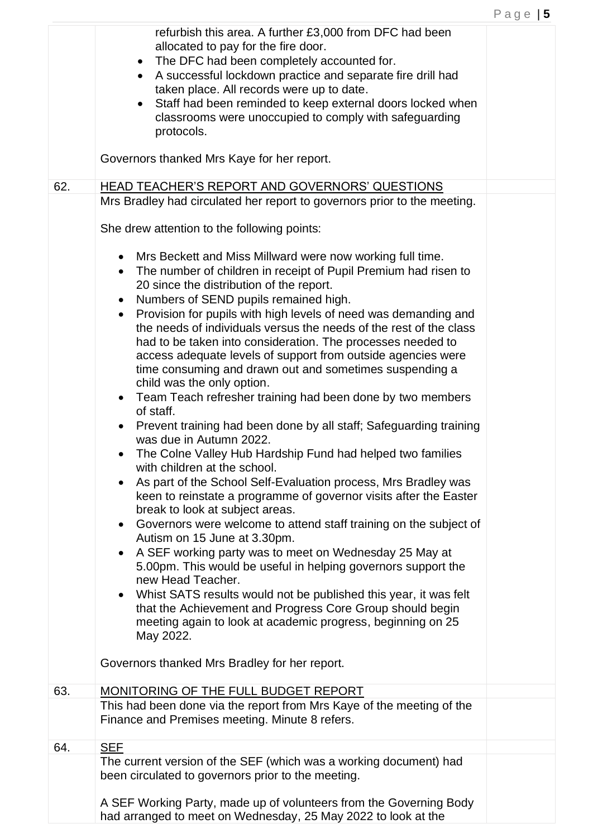|     | refurbish this area. A further £3,000 from DFC had been<br>allocated to pay for the fire door.<br>The DFC had been completely accounted for.<br>$\bullet$<br>A successful lockdown practice and separate fire drill had<br>$\bullet$<br>taken place. All records were up to date.<br>Staff had been reminded to keep external doors locked when<br>$\bullet$<br>classrooms were unoccupied to comply with safeguarding<br>protocols.<br>Governors thanked Mrs Kaye for her report.                                                                                                                                                                                                                                                                                                                                                                                                                                                                                                                                                                                                                                                                                                                                                                                                                                                                                                                                                                                                                                                                                                                                                                                                                                                                                                     |  |
|-----|----------------------------------------------------------------------------------------------------------------------------------------------------------------------------------------------------------------------------------------------------------------------------------------------------------------------------------------------------------------------------------------------------------------------------------------------------------------------------------------------------------------------------------------------------------------------------------------------------------------------------------------------------------------------------------------------------------------------------------------------------------------------------------------------------------------------------------------------------------------------------------------------------------------------------------------------------------------------------------------------------------------------------------------------------------------------------------------------------------------------------------------------------------------------------------------------------------------------------------------------------------------------------------------------------------------------------------------------------------------------------------------------------------------------------------------------------------------------------------------------------------------------------------------------------------------------------------------------------------------------------------------------------------------------------------------------------------------------------------------------------------------------------------------|--|
| 62. | HEAD TEACHER'S REPORT AND GOVERNORS' QUESTIONS                                                                                                                                                                                                                                                                                                                                                                                                                                                                                                                                                                                                                                                                                                                                                                                                                                                                                                                                                                                                                                                                                                                                                                                                                                                                                                                                                                                                                                                                                                                                                                                                                                                                                                                                         |  |
|     | Mrs Bradley had circulated her report to governors prior to the meeting.<br>She drew attention to the following points:<br>Mrs Beckett and Miss Millward were now working full time.<br>٠<br>The number of children in receipt of Pupil Premium had risen to<br>$\bullet$<br>20 since the distribution of the report.<br>Numbers of SEND pupils remained high.<br>$\bullet$<br>Provision for pupils with high levels of need was demanding and<br>$\bullet$<br>the needs of individuals versus the needs of the rest of the class<br>had to be taken into consideration. The processes needed to<br>access adequate levels of support from outside agencies were<br>time consuming and drawn out and sometimes suspending a<br>child was the only option.<br>• Team Teach refresher training had been done by two members<br>of staff.<br>Prevent training had been done by all staff; Safeguarding training<br>$\bullet$<br>was due in Autumn 2022.<br>The Colne Valley Hub Hardship Fund had helped two families<br>with children at the school.<br>As part of the School Self-Evaluation process, Mrs Bradley was<br>keen to reinstate a programme of governor visits after the Easter<br>break to look at subject areas.<br>Governors were welcome to attend staff training on the subject of<br>$\bullet$<br>Autism on 15 June at 3.30pm.<br>A SEF working party was to meet on Wednesday 25 May at<br>$\bullet$<br>5.00pm. This would be useful in helping governors support the<br>new Head Teacher.<br>Whist SATS results would not be published this year, it was felt<br>$\bullet$<br>that the Achievement and Progress Core Group should begin<br>meeting again to look at academic progress, beginning on 25<br>May 2022.<br>Governors thanked Mrs Bradley for her report. |  |
|     |                                                                                                                                                                                                                                                                                                                                                                                                                                                                                                                                                                                                                                                                                                                                                                                                                                                                                                                                                                                                                                                                                                                                                                                                                                                                                                                                                                                                                                                                                                                                                                                                                                                                                                                                                                                        |  |
| 63. | MONITORING OF THE FULL BUDGET REPORT<br>This had been done via the report from Mrs Kaye of the meeting of the<br>Finance and Premises meeting. Minute 8 refers.                                                                                                                                                                                                                                                                                                                                                                                                                                                                                                                                                                                                                                                                                                                                                                                                                                                                                                                                                                                                                                                                                                                                                                                                                                                                                                                                                                                                                                                                                                                                                                                                                        |  |
| 64. | <b>SEF</b>                                                                                                                                                                                                                                                                                                                                                                                                                                                                                                                                                                                                                                                                                                                                                                                                                                                                                                                                                                                                                                                                                                                                                                                                                                                                                                                                                                                                                                                                                                                                                                                                                                                                                                                                                                             |  |
|     | The current version of the SEF (which was a working document) had<br>been circulated to governors prior to the meeting.<br>A SEF Working Party, made up of volunteers from the Governing Body<br>had arranged to meet on Wednesday, 25 May 2022 to look at the                                                                                                                                                                                                                                                                                                                                                                                                                                                                                                                                                                                                                                                                                                                                                                                                                                                                                                                                                                                                                                                                                                                                                                                                                                                                                                                                                                                                                                                                                                                         |  |